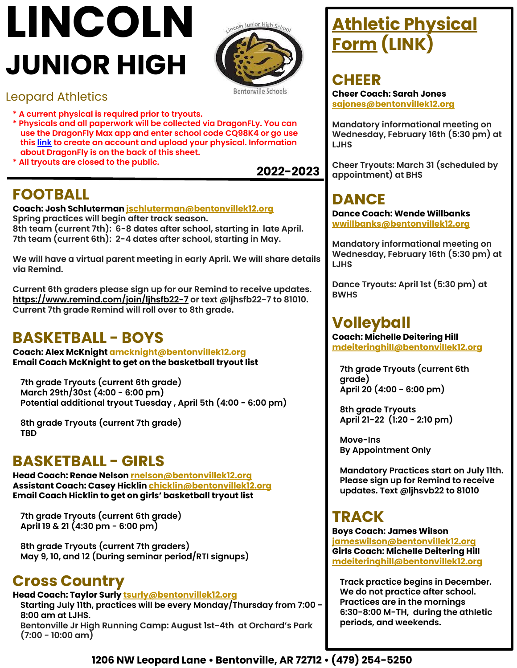# **LINCOLN JUNIOR HIGH**

Bentonville Schools

coln Junior High Scho

#### Leopard Athletics

- **\* A current physical is required prior to tryouts.**
- **\* Physicals and all paperwork will be collected via DragonFLy. You can use the DragonFly Max app and enter school code CQ98K4 or go use this [link](http://dragonflymax.com/forms/CQ98K4) to create an account and upload your physical. Information about DragonFly is on the back of this sheet.**
- **\* All tryouts are closed to the public.**

## **FOOTBALL**

**Coach: Josh Schluterman jschluterman@bentonvillek12.org Spring practices will begin after track season. 8th team (current 7th): 6-8 dates after school, starting in late April. 7th team (current 6th): 2-4 dates after school, starting in May.** 

**We will have a virtual parent meeting in early April. We will share details via Remind.**

**Current 6th graders please sign up for our Remind to receive updates. [https://www.remind.com/join/ljhsfb22-7](https://www.remind.com/join/ljhsfb20-7) or text @ljhsfb22-7 to 81010. Current 7th grade Remind will roll over to 8th grade.**

### **BASKETBALL - BOYS**

**Coach: Alex McKnight amcknight[@bentonvillek12.org](mailto:brward@bentonvillek12.org) Email Coach McKnight to get on the basketball tryout list**

**7th grade Tryouts (current 6th grade) March 29th/30st (4:00 - 6:00 pm) Potential additional tryout Tuesday , April 5th (4:00 - 6:00 pm)**

**8th grade Tryouts (current 7th grade) TBD**

#### **BASKETBALL - GIRLS**

**Head Coach: Renae Nelson rnelson[@bentonvillek12.org](mailto:brward@bentonvillek12.org) Assistant Coach: Casey Hicklin chicklin[@bentonvillek12.org](mailto:brward@bentonvillek12.org) Email Coach Hicklin to get on girls' basketball tryout list**

**7th grade Tryouts (current 6th grade) April 19 & 21 (4:30 pm - 6:00 pm)**

**8th grade Tryouts (current 7th graders) May 9, 10, and 12 (During seminar period/RTI signups)**

### **Cross Country**

#### **Head Coach: Taylor Surly tsurl[y@bentonvillek12.org](mailto:brward@bentonvillek12.org)**

**Starting July 11th, practices will be every Monday/Thursday from 7:00 - 8:00 am at LJHS.** 

**Bentonville Jr High Running Camp: August 1st-4th at Orchard's Park (7:00 - 10:00 am)**

# **[Athletic Physical](https://www.bentonvillek12.org/site/handlers/filedownload.ashx?moduleinstanceid=32416&dataid=31463&FileName=PPE_Form.pdf) [Form](https://www.bentonvillek12.org/site/handlers/filedownload.ashx?moduleinstanceid=32416&dataid=31463&FileName=PPE_Form.pdf) (LINK)**

**CHEER Cheer Coach: Sarah Jones sajones[@bentonvillek12.org](mailto:nvandyke@bentonvillek12.org)**

**Mandatory informational meeting on Wednesday, February 16th (5:30 pm) at LJHS** 

**Cheer Tryouts: March 31 (scheduled by appointment) at BHS**

## **DANCE**

**Dance Coach: Wende Willbanks wwillbanks[@bentonvillek12.org](mailto:nvandyke@bentonvillek12.org)**

**Mandatory informational meeting on Wednesday, February 16th (5:30 pm) at LJHS** 

**Dance Tryouts: April 1st (5:30 pm) at BWHS**

#### **Volleyball**

**Coach: Michelle Deitering Hill mdeiteringhill[@bentonvillek12.org](mailto:nvandyke@bentonvillek12.org)**

**7th grade Tryouts (current 6th grade) April 20 (4:00 - 6:00 pm)**

**8th grade Tryouts April 21-22 (1:20 - 2:10 pm)**

**Move-Ins By Appointment Only**

**Mandatory Practices start on July 11th. Please sign up for Remind to receive updates. Text @ljhsvb22 to 81010**

### **TRACK**

**Boys Coach: James Wilson jameswilson[@bentonvillek12.org](mailto:rsimmermon@bentonvillek12.org) Girls Coach: Michelle Deitering Hill mdeiteringhill@bentonvillek12.org**

**Track practice begins in December. We do not practice after school. Practices are in the mornings 6:30-8:00 M-TH, during the athletic periods, and weekends.**

**2022-2023**

**1206 NW Leopard Lane • Bentonville, AR 72712 • (479) 254-5250**